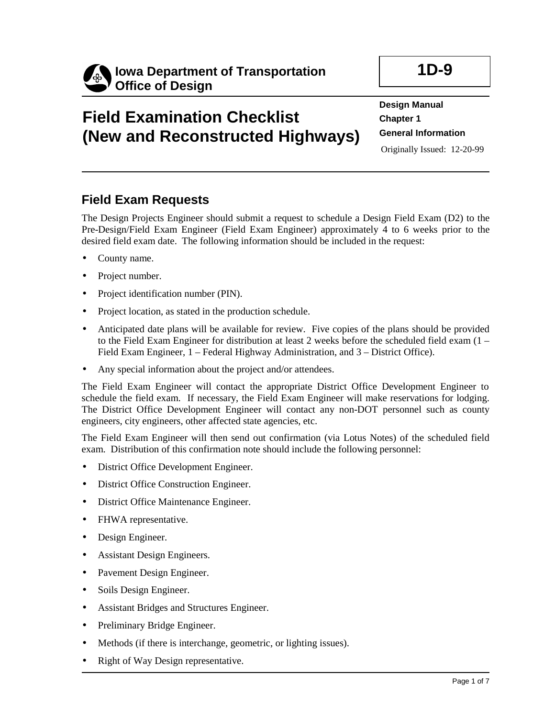

# **Field Examination Checklist (New and Reconstructed Highways)**

# **1D-9**

**Design Manual Chapter 1 General Information**  Originally Issued: 12-20-99

## **Field Exam Requests**

The Design Projects Engineer should submit a request to schedule a Design Field Exam (D2) to the Pre-Design/Field Exam Engineer (Field Exam Engineer) approximately 4 to 6 weeks prior to the desired field exam date. The following information should be included in the request:

- County name.
- Project number.
- Project identification number (PIN).
- Project location, as stated in the production schedule.
- Anticipated date plans will be available for review. Five copies of the plans should be provided to the Field Exam Engineer for distribution at least 2 weeks before the scheduled field exam (1 – Field Exam Engineer, 1 – Federal Highway Administration, and 3 – District Office).
- Any special information about the project and/or attendees.

The Field Exam Engineer will contact the appropriate District Office Development Engineer to schedule the field exam. If necessary, the Field Exam Engineer will make reservations for lodging. The District Office Development Engineer will contact any non-DOT personnel such as county engineers, city engineers, other affected state agencies, etc.

The Field Exam Engineer will then send out confirmation (via Lotus Notes) of the scheduled field exam. Distribution of this confirmation note should include the following personnel:

- District Office Development Engineer.
- District Office Construction Engineer.
- District Office Maintenance Engineer.
- FHWA representative.
- Design Engineer.
- Assistant Design Engineers.
- Pavement Design Engineer.
- Soils Design Engineer.
- Assistant Bridges and Structures Engineer.
- Preliminary Bridge Engineer.
- Methods (if there is interchange, geometric, or lighting issues).
- **Right of Way Design representative.**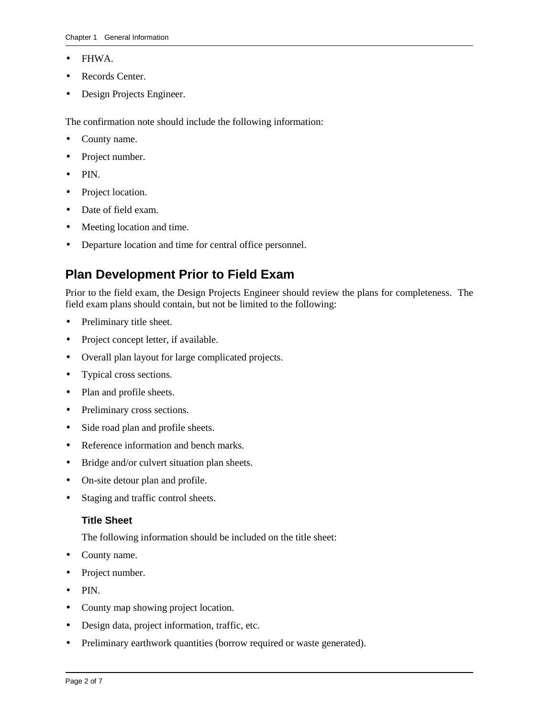- FHWA.
- Records Center.
- Design Projects Engineer.

The confirmation note should include the following information:

- County name.
- Project number.
- PIN.
- Project location.
- Date of field exam.
- Meeting location and time.
- Departure location and time for central office personnel.

## **Plan Development Prior to Field Exam**

Prior to the field exam, the Design Projects Engineer should review the plans for completeness. The field exam plans should contain, but not be limited to the following:

- Preliminary title sheet.
- Project concept letter, if available.
- Overall plan layout for large complicated projects.
- Typical cross sections.
- Plan and profile sheets.
- Preliminary cross sections.
- Side road plan and profile sheets.
- Reference information and bench marks.
- Bridge and/or culvert situation plan sheets.
- On-site detour plan and profile.
- Staging and traffic control sheets.

#### **Title Sheet**

The following information should be included on the title sheet:

- County name.
- Project number.
- PIN.
- County map showing project location.
- Design data, project information, traffic, etc.
- Preliminary earthwork quantities (borrow required or waste generated).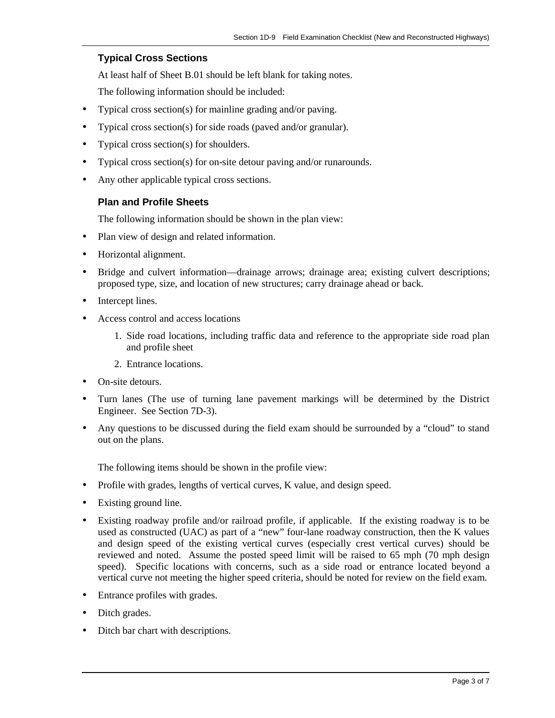#### **Typical Cross Sections**

At least half of Sheet B.01 should be left blank for taking notes.

The following information should be included:

- Typical cross section(s) for mainline grading and/or paving.
- Typical cross section(s) for side roads (paved and/or granular).
- Typical cross section(s) for shoulders.
- Typical cross section(s) for on-site detour paving and/or runarounds.
- Any other applicable typical cross sections.

#### **Plan and Profile Sheets**

The following information should be shown in the plan view:

- Plan view of design and related information.
- Horizontal alignment.
- Bridge and culvert information—drainage arrows; drainage area; existing culvert descriptions; proposed type, size, and location of new structures; carry drainage ahead or back.
- Intercept lines.
- Access control and access locations
	- 1. Side road locations, including traffic data and reference to the appropriate side road plan and profile sheet
	- 2. Entrance locations.
- On-site detours.
- Turn lanes (The use of turning lane pavement markings will be determined by the District Engineer. See Section 7D-3).
- Any questions to be discussed during the field exam should be surrounded by a "cloud" to stand out on the plans.

The following items should be shown in the profile view:

- Profile with grades, lengths of vertical curves, K value, and design speed.
- Existing ground line.
- Existing roadway profile and/or railroad profile, if applicable. If the existing roadway is to be used as constructed (UAC) as part of a "new" four-lane roadway construction, then the K values and design speed of the existing vertical curves (especially crest vertical curves) should be reviewed and noted. Assume the posted speed limit will be raised to 65 mph (70 mph design speed). Specific locations with concerns, such as a side road or entrance located beyond a vertical curve not meeting the higher speed criteria, should be noted for review on the field exam.
- Entrance profiles with grades.
- Ditch grades.
- Ditch bar chart with descriptions.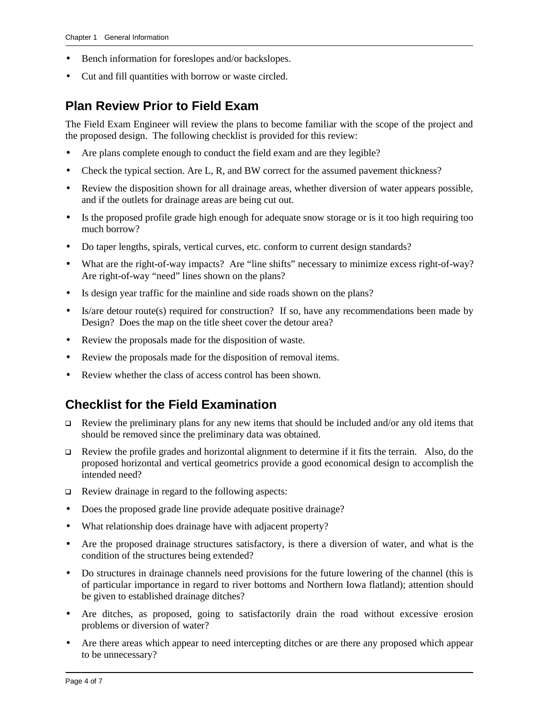- Bench information for foreslopes and/or backslopes.
- Cut and fill quantities with borrow or waste circled.

### **Plan Review Prior to Field Exam**

The Field Exam Engineer will review the plans to become familiar with the scope of the project and the proposed design. The following checklist is provided for this review:

- Are plans complete enough to conduct the field exam and are they legible?
- Check the typical section. Are L, R, and BW correct for the assumed pavement thickness?
- Review the disposition shown for all drainage areas, whether diversion of water appears possible, and if the outlets for drainage areas are being cut out.
- Is the proposed profile grade high enough for adequate snow storage or is it too high requiring too much borrow?
- Do taper lengths, spirals, vertical curves, etc. conform to current design standards?
- What are the right-of-way impacts? Are "line shifts" necessary to minimize excess right-of-way? Are right-of-way "need" lines shown on the plans?
- Is design year traffic for the mainline and side roads shown on the plans?
- Is/are detour route(s) required for construction? If so, have any recommendations been made by Design? Does the map on the title sheet cover the detour area?
- Review the proposals made for the disposition of waste.
- Review the proposals made for the disposition of removal items.
- Review whether the class of access control has been shown.

### **Checklist for the Field Examination**

- $\Box$  Review the preliminary plans for any new items that should be included and/or any old items that should be removed since the preliminary data was obtained.
- $\Box$  Review the profile grades and horizontal alignment to determine if it fits the terrain. Also, do the proposed horizontal and vertical geometrics provide a good economical design to accomplish the intended need?
- **Q** Review drainage in regard to the following aspects:
- Does the proposed grade line provide adequate positive drainage?
- What relationship does drainage have with adjacent property?
- Are the proposed drainage structures satisfactory, is there a diversion of water, and what is the condition of the structures being extended?
- Do structures in drainage channels need provisions for the future lowering of the channel (this is of particular importance in regard to river bottoms and Northern Iowa flatland); attention should be given to established drainage ditches?
- Are ditches, as proposed, going to satisfactorily drain the road without excessive erosion problems or diversion of water?
- Are there areas which appear to need intercepting ditches or are there any proposed which appear to be unnecessary?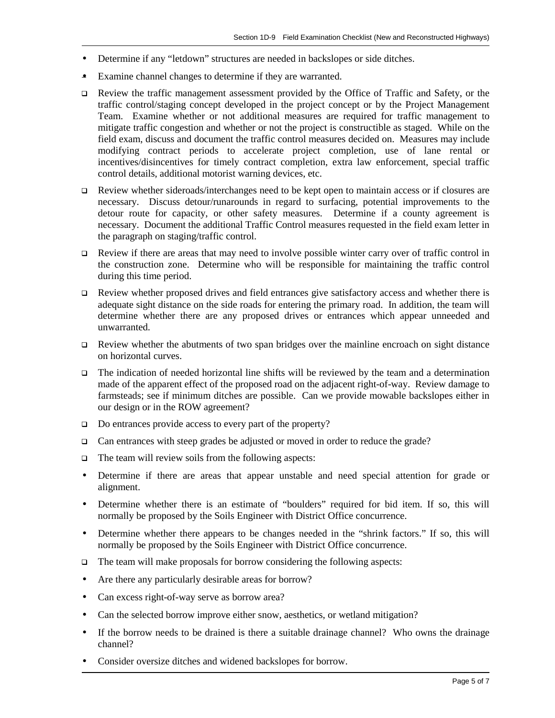- Determine if any "letdown" structures are needed in backslopes or side ditches.
- Examine channel changes to determine if they are warranted.
- $\Box$  Review the traffic management assessment provided by the Office of Traffic and Safety, or the traffic control/staging concept developed in the project concept or by the Project Management Team. Examine whether or not additional measures are required for traffic management to mitigate traffic congestion and whether or not the project is constructible as staged. While on the field exam, discuss and document the traffic control measures decided on. Measures may include modifying contract periods to accelerate project completion, use of lane rental or incentives/disincentives for timely contract completion, extra law enforcement, special traffic control details, additional motorist warning devices, etc.
- $\Box$  Review whether sideroads/interchanges need to be kept open to maintain access or if closures are necessary. Discuss detour/runarounds in regard to surfacing, potential improvements to the detour route for capacity, or other safety measures. Determine if a county agreement is necessary. Document the additional Traffic Control measures requested in the field exam letter in the paragraph on staging/traffic control.
- $\Box$  Review if there are areas that may need to involve possible winter carry over of traffic control in the construction zone. Determine who will be responsible for maintaining the traffic control during this time period.
- $\Box$  Review whether proposed drives and field entrances give satisfactory access and whether there is adequate sight distance on the side roads for entering the primary road. In addition, the team will determine whether there are any proposed drives or entrances which appear unneeded and unwarranted.
- $\Box$  Review whether the abutments of two span bridges over the mainline encroach on sight distance on horizontal curves.
- $\Box$  The indication of needed horizontal line shifts will be reviewed by the team and a determination made of the apparent effect of the proposed road on the adjacent right-of-way. Review damage to farmsteads; see if minimum ditches are possible. Can we provide mowable backslopes either in our design or in the ROW agreement?
- $\Box$  Do entrances provide access to every part of the property?
- $\Box$  Can entrances with steep grades be adjusted or moved in order to reduce the grade?
- $\Box$  The team will review soils from the following aspects:
- Determine if there are areas that appear unstable and need special attention for grade or alignment.
- Determine whether there is an estimate of "boulders" required for bid item. If so, this will normally be proposed by the Soils Engineer with District Office concurrence.
- Determine whether there appears to be changes needed in the "shrink factors." If so, this will normally be proposed by the Soils Engineer with District Office concurrence.
- $\Box$  The team will make proposals for borrow considering the following aspects:
- Are there any particularly desirable areas for borrow?
- Can excess right-of-way serve as borrow area?
- Can the selected borrow improve either snow, aesthetics, or wetland mitigation?
- If the borrow needs to be drained is there a suitable drainage channel? Who owns the drainage channel?
- Consider oversize ditches and widened backslopes for borrow.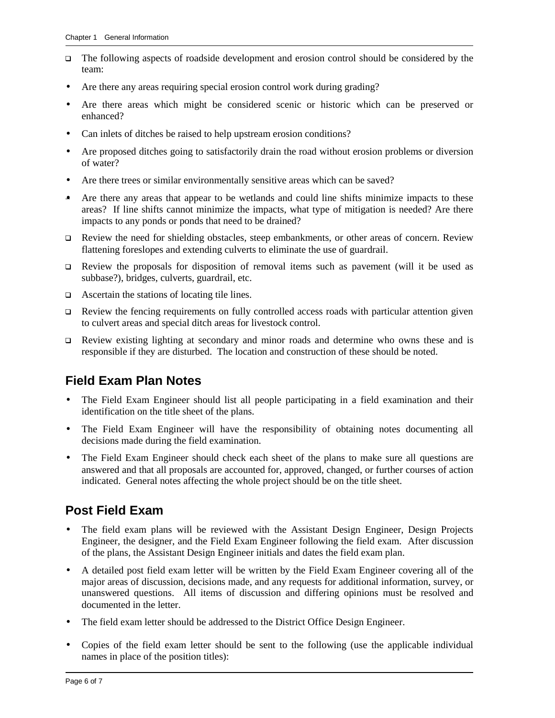- $\Box$  The following aspects of roadside development and erosion control should be considered by the team:
- Are there any areas requiring special erosion control work during grading?
- Are there areas which might be considered scenic or historic which can be preserved or enhanced?
- Can inlets of ditches be raised to help upstream erosion conditions?
- Are proposed ditches going to satisfactorily drain the road without erosion problems or diversion of water?
- Are there trees or similar environmentally sensitive areas which can be saved?
- Are there any areas that appear to be wetlands and could line shifts minimize impacts to these areas? If line shifts cannot minimize the impacts, what type of mitigation is needed? Are there impacts to any ponds or ponds that need to be drained?
- q Review the need for shielding obstacles, steep embankments, or other areas of concern. Review flattening foreslopes and extending culverts to eliminate the use of guardrail.
- $\Box$  Review the proposals for disposition of removal items such as pavement (will it be used as subbase?), bridges, culverts, guardrail, etc.
- $\Box$  Ascertain the stations of locating tile lines.
- $\Box$  Review the fencing requirements on fully controlled access roads with particular attention given to culvert areas and special ditch areas for livestock control.
- $\Box$  Review existing lighting at secondary and minor roads and determine who owns these and is responsible if they are disturbed. The location and construction of these should be noted.

### **Field Exam Plan Notes**

- The Field Exam Engineer should list all people participating in a field examination and their identification on the title sheet of the plans.
- The Field Exam Engineer will have the responsibility of obtaining notes documenting all decisions made during the field examination.
- The Field Exam Engineer should check each sheet of the plans to make sure all questions are answered and that all proposals are accounted for, approved, changed, or further courses of action indicated. General notes affecting the whole project should be on the title sheet.

### **Post Field Exam**

- The field exam plans will be reviewed with the Assistant Design Engineer, Design Projects Engineer, the designer, and the Field Exam Engineer following the field exam. After discussion of the plans, the Assistant Design Engineer initials and dates the field exam plan.
- A detailed post field exam letter will be written by the Field Exam Engineer covering all of the major areas of discussion, decisions made, and any requests for additional information, survey, or unanswered questions. All items of discussion and differing opinions must be resolved and documented in the letter.
- The field exam letter should be addressed to the District Office Design Engineer.
- Copies of the field exam letter should be sent to the following (use the applicable individual names in place of the position titles):